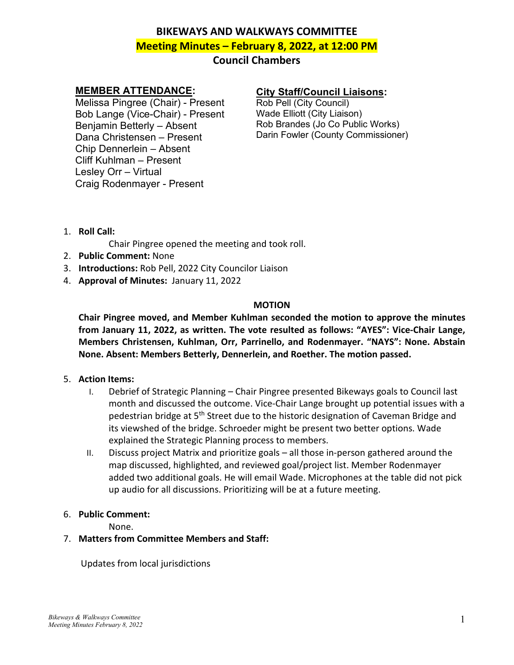# **BIKEWAYS AND WALKWAYS COMMITTEE Meeting Minutes – February 8, 2022, at 12:00 PM**

# **Council Chambers**

# **MEMBER ATTENDANCE:**

Melissa Pingree (Chair) - Present Bob Lange (Vice-Chair) - Present Benjamin Betterly – Absent Dana Christensen – Present Chip Dennerlein – Absent Cliff Kuhlman – Present Lesley Orr – Virtual Craig Rodenmayer - Present

# **City Staff/Council Liaisons:**

Rob Pell (City Council) Wade Elliott (City Liaison) Rob Brandes (Jo Co Public Works) Darin Fowler (County Commissioner)

1. **Roll Call:**

Chair Pingree opened the meeting and took roll.

- 2. **Public Comment:** None
- 3. **Introductions:** Rob Pell, 2022 City Councilor Liaison
- 4. **Approval of Minutes:** January 11, 2022

#### **MOTION**

**Chair Pingree moved, and Member Kuhlman seconded the motion to approve the minutes from January 11, 2022, as written. The vote resulted as follows: "AYES": Vice-Chair Lange, Members Christensen, Kuhlman, Orr, Parrinello, and Rodenmayer. "NAYS": None. Abstain None. Absent: Members Betterly, Dennerlein, and Roether. The motion passed.**

- 5. **Action Items:** 
	- I. Debrief of Strategic Planning Chair Pingree presented Bikeways goals to Council last month and discussed the outcome. Vice-Chair Lange brought up potential issues with a pedestrian bridge at 5<sup>th</sup> Street due to the historic designation of Caveman Bridge and its viewshed of the bridge. Schroeder might be present two better options. Wade explained the Strategic Planning process to members.
	- II. Discuss project Matrix and prioritize goals all those in-person gathered around the map discussed, highlighted, and reviewed goal/project list. Member Rodenmayer added two additional goals. He will email Wade. Microphones at the table did not pick up audio for all discussions. Prioritizing will be at a future meeting.
- 6. **Public Comment:**

None.

# 7. **Matters from Committee Members and Staff:**

Updates from local jurisdictions